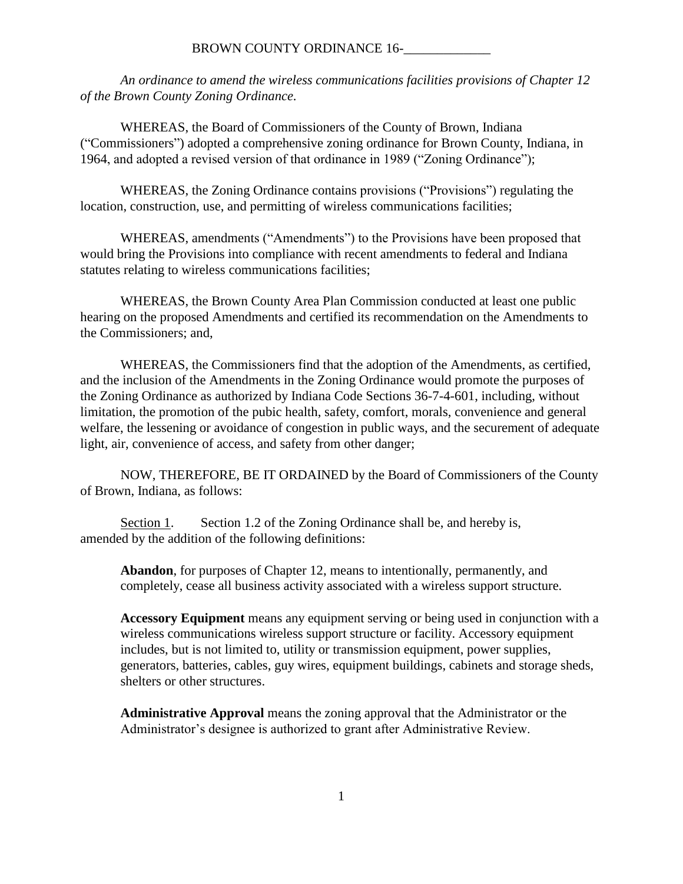#### BROWN COUNTY ORDINANCE 16-

*An ordinance to amend the wireless communications facilities provisions of Chapter 12 of the Brown County Zoning Ordinance.*

WHEREAS, the Board of Commissioners of the County of Brown, Indiana ("Commissioners") adopted a comprehensive zoning ordinance for Brown County, Indiana, in 1964, and adopted a revised version of that ordinance in 1989 ("Zoning Ordinance");

WHEREAS, the Zoning Ordinance contains provisions ("Provisions") regulating the location, construction, use, and permitting of wireless communications facilities;

WHEREAS, amendments ("Amendments") to the Provisions have been proposed that would bring the Provisions into compliance with recent amendments to federal and Indiana statutes relating to wireless communications facilities;

WHEREAS, the Brown County Area Plan Commission conducted at least one public hearing on the proposed Amendments and certified its recommendation on the Amendments to the Commissioners; and,

WHEREAS, the Commissioners find that the adoption of the Amendments, as certified, and the inclusion of the Amendments in the Zoning Ordinance would promote the purposes of the Zoning Ordinance as authorized by Indiana Code Sections 36-7-4-601, including, without limitation, the promotion of the pubic health, safety, comfort, morals, convenience and general welfare, the lessening or avoidance of congestion in public ways, and the securement of adequate light, air, convenience of access, and safety from other danger;

NOW, THEREFORE, BE IT ORDAINED by the Board of Commissioners of the County of Brown, Indiana, as follows:

Section 1. Section 1.2 of the Zoning Ordinance shall be, and hereby is, amended by the addition of the following definitions:

**Abandon**, for purposes of Chapter 12, means to intentionally, permanently, and completely, cease all business activity associated with a wireless support structure.

**Accessory Equipment** means any equipment serving or being used in conjunction with a wireless communications wireless support structure or facility. Accessory equipment includes, but is not limited to, utility or transmission equipment, power supplies, generators, batteries, cables, guy wires, equipment buildings, cabinets and storage sheds, shelters or other structures.

**Administrative Approval** means the zoning approval that the Administrator or the Administrator's designee is authorized to grant after Administrative Review.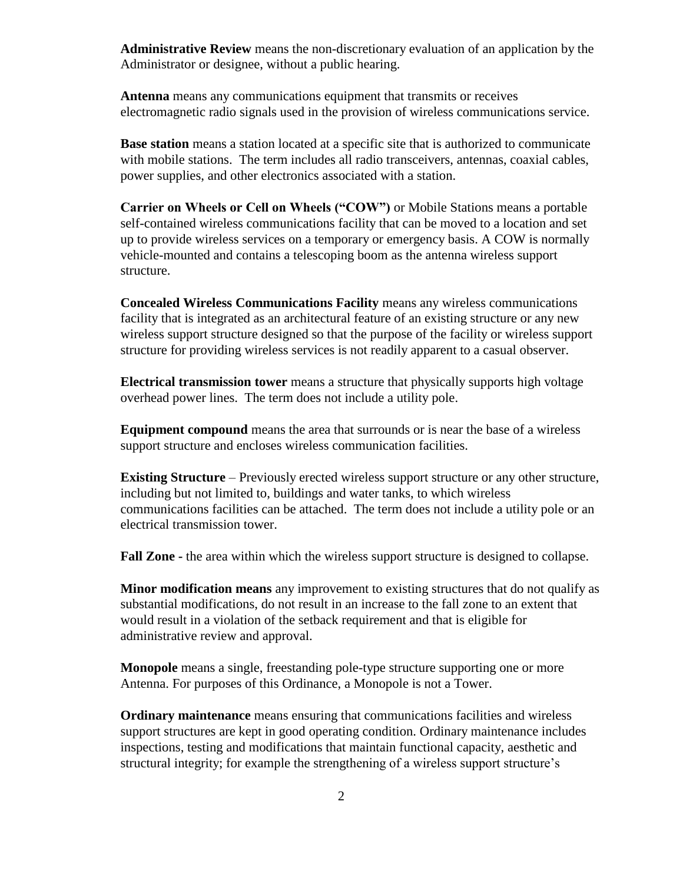**Administrative Review** means the non-discretionary evaluation of an application by the Administrator or designee, without a public hearing.

**Antenna** means any communications equipment that transmits or receives electromagnetic radio signals used in the provision of wireless communications service.

**Base station** means a station located at a specific site that is authorized to communicate with mobile stations. The term includes all radio transceivers, antennas, coaxial cables, power supplies, and other electronics associated with a station.

**Carrier on Wheels or Cell on Wheels ("COW")** or Mobile Stations means a portable self-contained wireless communications facility that can be moved to a location and set up to provide wireless services on a temporary or emergency basis. A COW is normally vehicle-mounted and contains a telescoping boom as the antenna wireless support structure.

**Concealed Wireless Communications Facility** means any wireless communications facility that is integrated as an architectural feature of an existing structure or any new wireless support structure designed so that the purpose of the facility or wireless support structure for providing wireless services is not readily apparent to a casual observer.

**Electrical transmission tower** means a structure that physically supports high voltage overhead power lines. The term does not include a utility pole.

**Equipment compound** means the area that surrounds or is near the base of a wireless support structure and encloses wireless communication facilities.

**Existing Structure** – Previously erected wireless support structure or any other structure, including but not limited to, buildings and water tanks, to which wireless communications facilities can be attached. The term does not include a utility pole or an electrical transmission tower.

**Fall Zone -** the area within which the wireless support structure is designed to collapse.

**Minor modification means** any improvement to existing structures that do not qualify as substantial modifications, do not result in an increase to the fall zone to an extent that would result in a violation of the setback requirement and that is eligible for administrative review and approval.

**Monopole** means a single, freestanding pole-type structure supporting one or more Antenna. For purposes of this Ordinance, a Monopole is not a Tower.

**Ordinary maintenance** means ensuring that communications facilities and wireless support structures are kept in good operating condition. Ordinary maintenance includes inspections, testing and modifications that maintain functional capacity, aesthetic and structural integrity; for example the strengthening of a wireless support structure's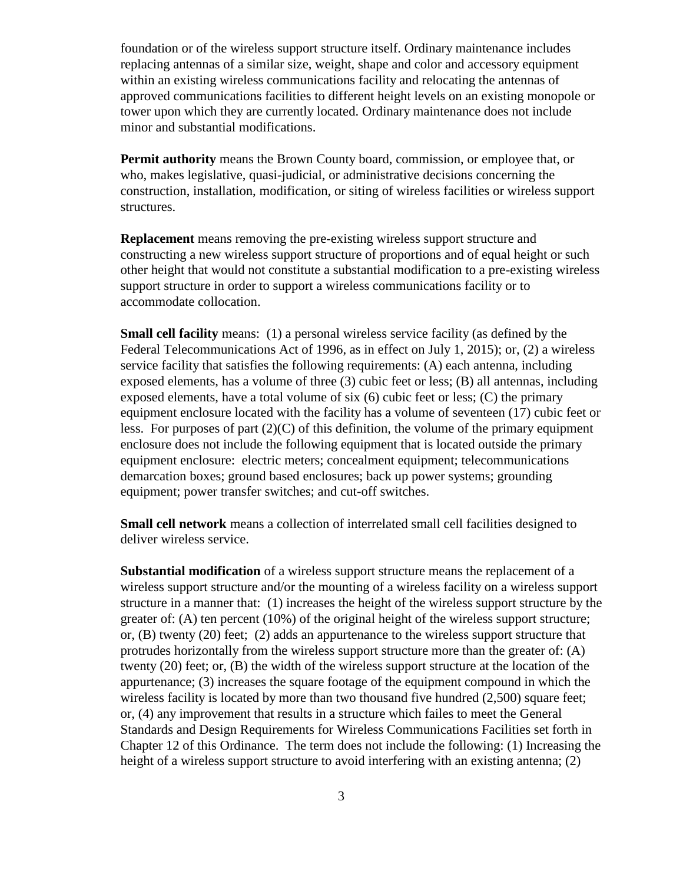foundation or of the wireless support structure itself. Ordinary maintenance includes replacing antennas of a similar size, weight, shape and color and accessory equipment within an existing wireless communications facility and relocating the antennas of approved communications facilities to different height levels on an existing monopole or tower upon which they are currently located. Ordinary maintenance does not include minor and substantial modifications.

**Permit authority** means the Brown County board, commission, or employee that, or who, makes legislative, quasi-judicial, or administrative decisions concerning the construction, installation, modification, or siting of wireless facilities or wireless support structures.

**Replacement** means removing the pre-existing wireless support structure and constructing a new wireless support structure of proportions and of equal height or such other height that would not constitute a substantial modification to a pre-existing wireless support structure in order to support a wireless communications facility or to accommodate collocation.

**Small cell facility** means: (1) a personal wireless service facility (as defined by the Federal Telecommunications Act of 1996, as in effect on July 1, 2015); or, (2) a wireless service facility that satisfies the following requirements: (A) each antenna, including exposed elements, has a volume of three (3) cubic feet or less; (B) all antennas, including exposed elements, have a total volume of six  $(6)$  cubic feet or less;  $(C)$  the primary equipment enclosure located with the facility has a volume of seventeen (17) cubic feet or less. For purposes of part  $(2)(C)$  of this definition, the volume of the primary equipment enclosure does not include the following equipment that is located outside the primary equipment enclosure: electric meters; concealment equipment; telecommunications demarcation boxes; ground based enclosures; back up power systems; grounding equipment; power transfer switches; and cut-off switches.

**Small cell network** means a collection of interrelated small cell facilities designed to deliver wireless service.

**Substantial modification** of a wireless support structure means the replacement of a wireless support structure and/or the mounting of a wireless facility on a wireless support structure in a manner that: (1) increases the height of the wireless support structure by the greater of: (A) ten percent (10%) of the original height of the wireless support structure; or, (B) twenty (20) feet; (2) adds an appurtenance to the wireless support structure that protrudes horizontally from the wireless support structure more than the greater of: (A) twenty (20) feet; or, (B) the width of the wireless support structure at the location of the appurtenance; (3) increases the square footage of the equipment compound in which the wireless facility is located by more than two thousand five hundred  $(2,500)$  square feet; or, (4) any improvement that results in a structure which failes to meet the General Standards and Design Requirements for Wireless Communications Facilities set forth in Chapter 12 of this Ordinance. The term does not include the following: (1) Increasing the height of a wireless support structure to avoid interfering with an existing antenna; (2)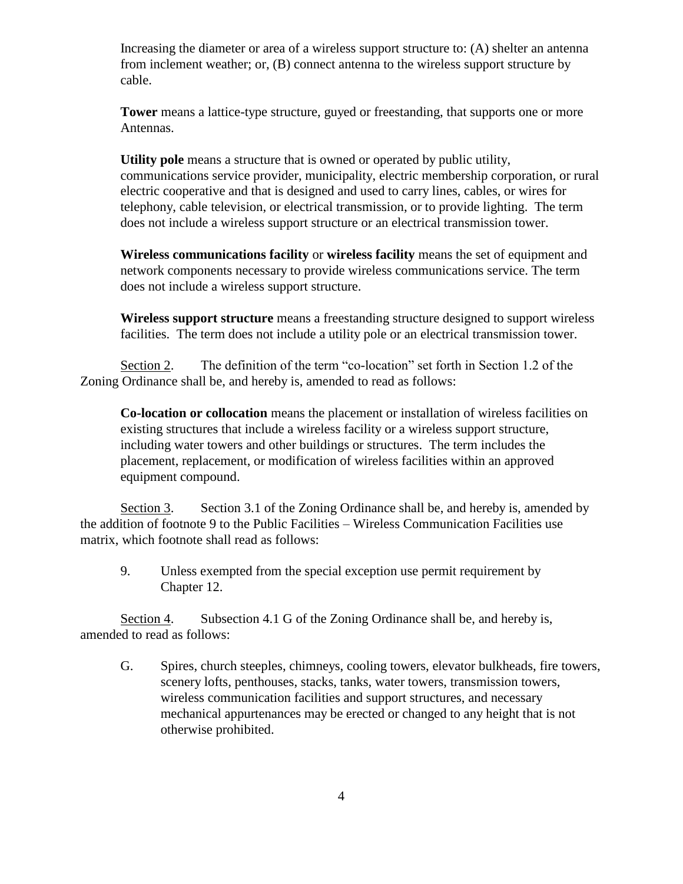Increasing the diameter or area of a wireless support structure to: (A) shelter an antenna from inclement weather; or, (B) connect antenna to the wireless support structure by cable.

**Tower** means a lattice-type structure, guyed or freestanding, that supports one or more Antennas.

**Utility pole** means a structure that is owned or operated by public utility, communications service provider, municipality, electric membership corporation, or rural electric cooperative and that is designed and used to carry lines, cables, or wires for telephony, cable television, or electrical transmission, or to provide lighting. The term does not include a wireless support structure or an electrical transmission tower.

**Wireless communications facility** or **wireless facility** means the set of equipment and network components necessary to provide wireless communications service. The term does not include a wireless support structure.

**Wireless support structure** means a freestanding structure designed to support wireless facilities. The term does not include a utility pole or an electrical transmission tower.

Section 2. The definition of the term "co-location" set forth in Section 1.2 of the Zoning Ordinance shall be, and hereby is, amended to read as follows:

**Co-location or collocation** means the placement or installation of wireless facilities on existing structures that include a wireless facility or a wireless support structure, including water towers and other buildings or structures. The term includes the placement, replacement, or modification of wireless facilities within an approved equipment compound.

Section 3. Section 3.1 of the Zoning Ordinance shall be, and hereby is, amended by the addition of footnote 9 to the Public Facilities – Wireless Communication Facilities use matrix, which footnote shall read as follows:

9. Unless exempted from the special exception use permit requirement by Chapter 12.

Section 4. Subsection 4.1 G of the Zoning Ordinance shall be, and hereby is, amended to read as follows:

G. Spires, church steeples, chimneys, cooling towers, elevator bulkheads, fire towers, scenery lofts, penthouses, stacks, tanks, water towers, transmission towers, wireless communication facilities and support structures, and necessary mechanical appurtenances may be erected or changed to any height that is not otherwise prohibited.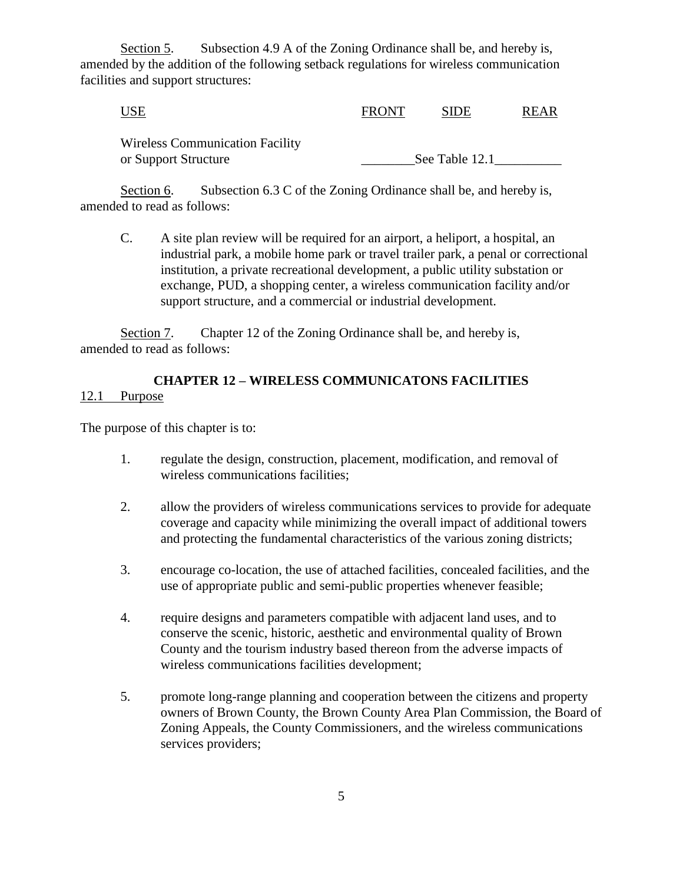Section 5. Subsection 4.9 A of the Zoning Ordinance shall be, and hereby is, amended by the addition of the following setback regulations for wireless communication facilities and support structures:

| <b>FRONT</b> | <b>SIDE</b> | <b>REAR</b> |
|--------------|-------------|-------------|
|              |             |             |
|              |             |             |

or Support Structure \_\_\_\_\_\_\_\_See Table 12.1\_\_\_\_\_\_\_\_\_\_

Section 6. Subsection 6.3 C of the Zoning Ordinance shall be, and hereby is, amended to read as follows:

C. A site plan review will be required for an airport, a heliport, a hospital, an industrial park, a mobile home park or travel trailer park, a penal or correctional institution, a private recreational development, a public utility substation or exchange, PUD, a shopping center, a wireless communication facility and/or support structure, and a commercial or industrial development.

Section 7. Chapter 12 of the Zoning Ordinance shall be, and hereby is, amended to read as follows:

### **CHAPTER 12 – WIRELESS COMMUNICATONS FACILITIES** 12.1 Purpose

The purpose of this chapter is to:

- 1. regulate the design, construction, placement, modification, and removal of wireless communications facilities;
- 2. allow the providers of wireless communications services to provide for adequate coverage and capacity while minimizing the overall impact of additional towers and protecting the fundamental characteristics of the various zoning districts;
- 3. encourage co-location, the use of attached facilities, concealed facilities, and the use of appropriate public and semi-public properties whenever feasible;
- 4. require designs and parameters compatible with adjacent land uses, and to conserve the scenic, historic, aesthetic and environmental quality of Brown County and the tourism industry based thereon from the adverse impacts of wireless communications facilities development;
- 5. promote long-range planning and cooperation between the citizens and property owners of Brown County, the Brown County Area Plan Commission, the Board of Zoning Appeals, the County Commissioners, and the wireless communications services providers;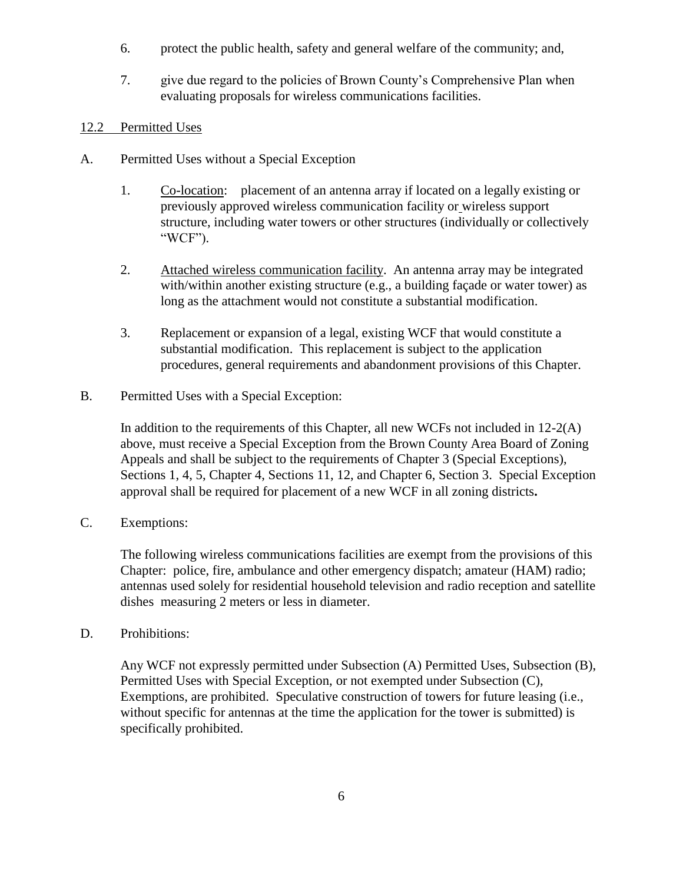- 6. protect the public health, safety and general welfare of the community; and,
- 7. give due regard to the policies of Brown County's Comprehensive Plan when evaluating proposals for wireless communications facilities.

#### 12.2 Permitted Uses

- A. Permitted Uses without a Special Exception
	- 1. Co-location: placement of an antenna array if located on a legally existing or previously approved wireless communication facility or wireless support structure, including water towers or other structures (individually or collectively "WCF").
	- 2. Attached wireless communication facility. An antenna array may be integrated with/within another existing structure (e.g., a building facade or water tower) as long as the attachment would not constitute a substantial modification.
	- 3. Replacement or expansion of a legal, existing WCF that would constitute a substantial modification. This replacement is subject to the application procedures, general requirements and abandonment provisions of this Chapter.
- B. Permitted Uses with a Special Exception:

In addition to the requirements of this Chapter, all new WCFs not included in  $12-2(A)$ above, must receive a Special Exception from the Brown County Area Board of Zoning Appeals and shall be subject to the requirements of Chapter 3 (Special Exceptions), Sections 1, 4, 5, Chapter 4, Sections 11, 12, and Chapter 6, Section 3. Special Exception approval shall be required for placement of a new WCF in all zoning districts**.** 

C. Exemptions:

The following wireless communications facilities are exempt from the provisions of this Chapter: police, fire, ambulance and other emergency dispatch; amateur (HAM) radio; antennas used solely for residential household television and radio reception and satellite dishes measuring 2 meters or less in diameter.

D. Prohibitions:

Any WCF not expressly permitted under Subsection (A) Permitted Uses, Subsection (B), Permitted Uses with Special Exception, or not exempted under Subsection (C), Exemptions, are prohibited. Speculative construction of towers for future leasing (i.e., without specific for antennas at the time the application for the tower is submitted) is specifically prohibited.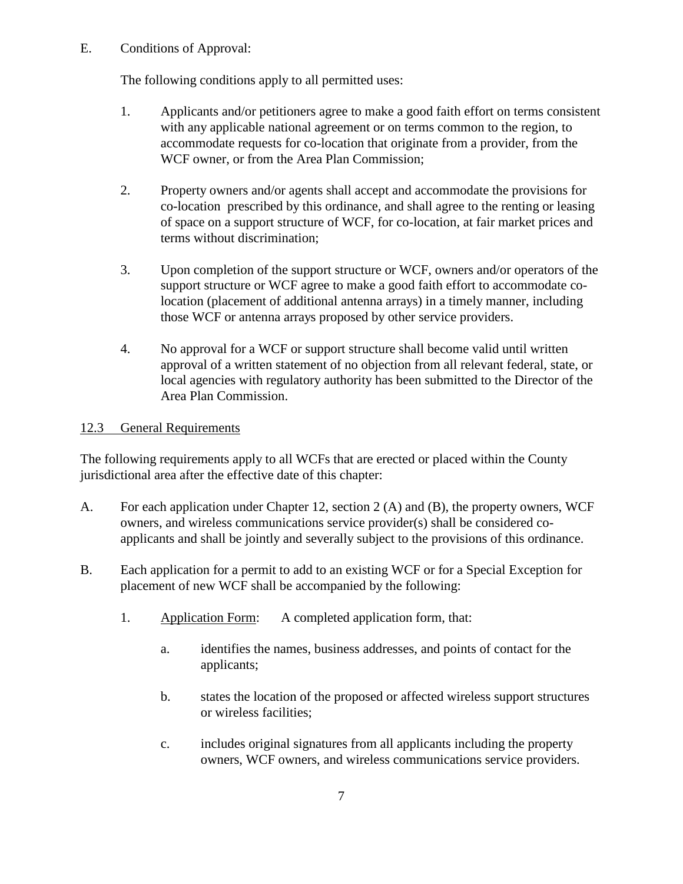E. Conditions of Approval:

The following conditions apply to all permitted uses:

- 1. Applicants and/or petitioners agree to make a good faith effort on terms consistent with any applicable national agreement or on terms common to the region, to accommodate requests for co-location that originate from a provider, from the WCF owner, or from the Area Plan Commission;
- 2. Property owners and/or agents shall accept and accommodate the provisions for co-location prescribed by this ordinance, and shall agree to the renting or leasing of space on a support structure of WCF, for co-location, at fair market prices and terms without discrimination;
- 3. Upon completion of the support structure or WCF, owners and/or operators of the support structure or WCF agree to make a good faith effort to accommodate colocation (placement of additional antenna arrays) in a timely manner, including those WCF or antenna arrays proposed by other service providers.
- 4. No approval for a WCF or support structure shall become valid until written approval of a written statement of no objection from all relevant federal, state, or local agencies with regulatory authority has been submitted to the Director of the Area Plan Commission.

# 12.3 General Requirements

The following requirements apply to all WCFs that are erected or placed within the County jurisdictional area after the effective date of this chapter:

- A. For each application under Chapter 12, section 2 (A) and (B), the property owners, WCF owners, and wireless communications service provider(s) shall be considered coapplicants and shall be jointly and severally subject to the provisions of this ordinance.
- B. Each application for a permit to add to an existing WCF or for a Special Exception for placement of new WCF shall be accompanied by the following:
	- 1. Application Form: A completed application form, that:
		- a. identifies the names, business addresses, and points of contact for the applicants;
		- b. states the location of the proposed or affected wireless support structures or wireless facilities;
		- c. includes original signatures from all applicants including the property owners, WCF owners, and wireless communications service providers.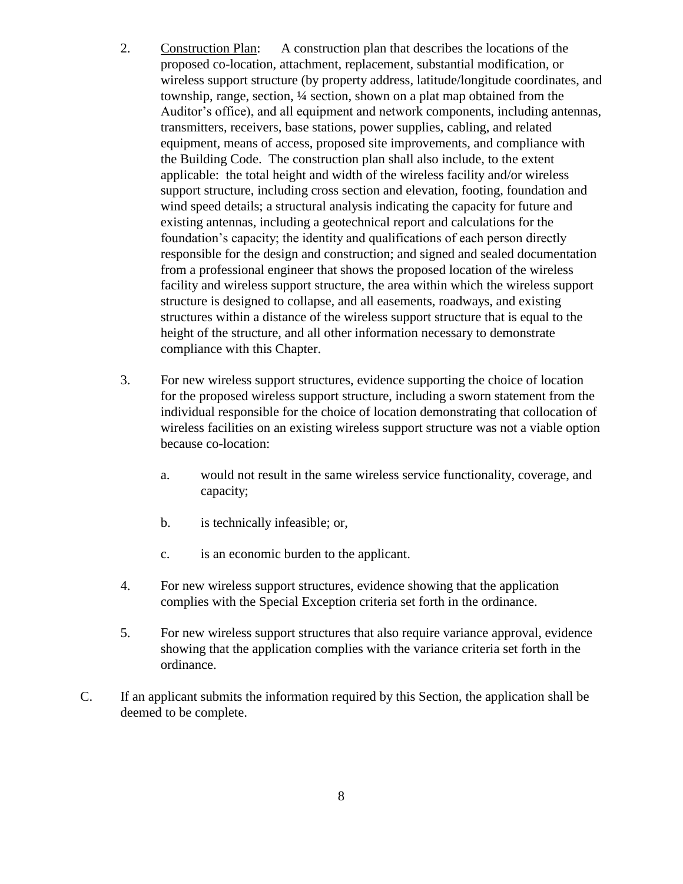- 2. Construction Plan: A construction plan that describes the locations of the proposed co-location, attachment, replacement, substantial modification, or wireless support structure (by property address, latitude/longitude coordinates, and township, range, section, ¼ section, shown on a plat map obtained from the Auditor's office), and all equipment and network components, including antennas, transmitters, receivers, base stations, power supplies, cabling, and related equipment, means of access, proposed site improvements, and compliance with the Building Code. The construction plan shall also include, to the extent applicable: the total height and width of the wireless facility and/or wireless support structure, including cross section and elevation, footing, foundation and wind speed details; a structural analysis indicating the capacity for future and existing antennas, including a geotechnical report and calculations for the foundation's capacity; the identity and qualifications of each person directly responsible for the design and construction; and signed and sealed documentation from a professional engineer that shows the proposed location of the wireless facility and wireless support structure, the area within which the wireless support structure is designed to collapse, and all easements, roadways, and existing structures within a distance of the wireless support structure that is equal to the height of the structure, and all other information necessary to demonstrate compliance with this Chapter.
- 3. For new wireless support structures, evidence supporting the choice of location for the proposed wireless support structure, including a sworn statement from the individual responsible for the choice of location demonstrating that collocation of wireless facilities on an existing wireless support structure was not a viable option because co-location:
	- a. would not result in the same wireless service functionality, coverage, and capacity;
	- b. is technically infeasible; or,
	- c. is an economic burden to the applicant.
- 4. For new wireless support structures, evidence showing that the application complies with the Special Exception criteria set forth in the ordinance.
- 5. For new wireless support structures that also require variance approval, evidence showing that the application complies with the variance criteria set forth in the ordinance.
- C. If an applicant submits the information required by this Section, the application shall be deemed to be complete.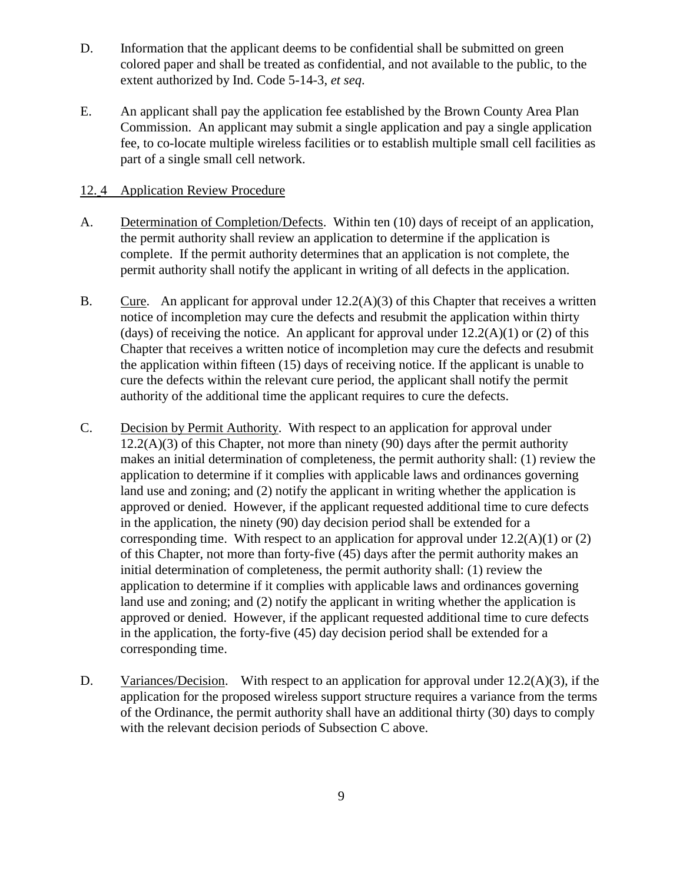- D. Information that the applicant deems to be confidential shall be submitted on green colored paper and shall be treated as confidential, and not available to the public, to the extent authorized by Ind. Code 5-14-3, *et seq*.
- E. An applicant shall pay the application fee established by the Brown County Area Plan Commission. An applicant may submit a single application and pay a single application fee, to co-locate multiple wireless facilities or to establish multiple small cell facilities as part of a single small cell network.

### 12. 4 Application Review Procedure

- A. Determination of Completion/Defects. Within ten (10) days of receipt of an application, the permit authority shall review an application to determine if the application is complete. If the permit authority determines that an application is not complete, the permit authority shall notify the applicant in writing of all defects in the application.
- B. Cure. An applicant for approval under  $12.2(A)(3)$  of this Chapter that receives a written notice of incompletion may cure the defects and resubmit the application within thirty (days) of receiving the notice. An applicant for approval under  $12.2(A)(1)$  or (2) of this Chapter that receives a written notice of incompletion may cure the defects and resubmit the application within fifteen (15) days of receiving notice. If the applicant is unable to cure the defects within the relevant cure period, the applicant shall notify the permit authority of the additional time the applicant requires to cure the defects.
- C. Decision by Permit Authority. With respect to an application for approval under  $12.2(A)(3)$  of this Chapter, not more than ninety (90) days after the permit authority makes an initial determination of completeness, the permit authority shall: (1) review the application to determine if it complies with applicable laws and ordinances governing land use and zoning; and (2) notify the applicant in writing whether the application is approved or denied. However, if the applicant requested additional time to cure defects in the application, the ninety (90) day decision period shall be extended for a corresponding time. With respect to an application for approval under  $12.2(A)(1)$  or  $(2)$ of this Chapter, not more than forty-five (45) days after the permit authority makes an initial determination of completeness, the permit authority shall: (1) review the application to determine if it complies with applicable laws and ordinances governing land use and zoning; and (2) notify the applicant in writing whether the application is approved or denied. However, if the applicant requested additional time to cure defects in the application, the forty-five (45) day decision period shall be extended for a corresponding time.
- D. Variances/Decision. With respect to an application for approval under 12.2(A)(3), if the application for the proposed wireless support structure requires a variance from the terms of the Ordinance, the permit authority shall have an additional thirty (30) days to comply with the relevant decision periods of Subsection C above.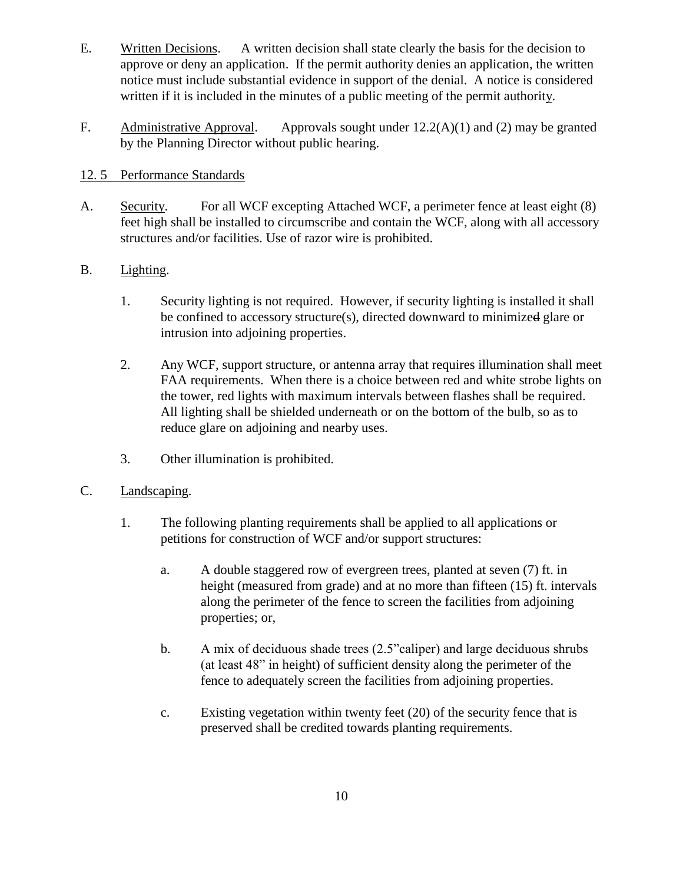- E. Written Decisions. A written decision shall state clearly the basis for the decision to approve or deny an application. If the permit authority denies an application, the written notice must include substantial evidence in support of the denial. A notice is considered written if it is included in the minutes of a public meeting of the permit authority.
- F. Administrative Approval. Approvals sought under 12.2(A)(1) and (2) may be granted by the Planning Director without public hearing.

# 12. 5 Performance Standards

- A. Security. For all WCF excepting Attached WCF, a perimeter fence at least eight (8) feet high shall be installed to circumscribe and contain the WCF, along with all accessory structures and/or facilities. Use of razor wire is prohibited.
- B. Lighting.
	- 1. Security lighting is not required. However, if security lighting is installed it shall be confined to accessory structure(s), directed downward to minimized glare or intrusion into adjoining properties.
	- 2. Any WCF, support structure, or antenna array that requires illumination shall meet FAA requirements. When there is a choice between red and white strobe lights on the tower, red lights with maximum intervals between flashes shall be required. All lighting shall be shielded underneath or on the bottom of the bulb, so as to reduce glare on adjoining and nearby uses.
	- 3. Other illumination is prohibited.
- C. Landscaping.
	- 1. The following planting requirements shall be applied to all applications or petitions for construction of WCF and/or support structures:
		- a. A double staggered row of evergreen trees, planted at seven (7) ft. in height (measured from grade) and at no more than fifteen (15) ft. intervals along the perimeter of the fence to screen the facilities from adjoining properties; or,
		- b. A mix of deciduous shade trees (2.5"caliper) and large deciduous shrubs (at least 48" in height) of sufficient density along the perimeter of the fence to adequately screen the facilities from adjoining properties.
		- c. Existing vegetation within twenty feet (20) of the security fence that is preserved shall be credited towards planting requirements.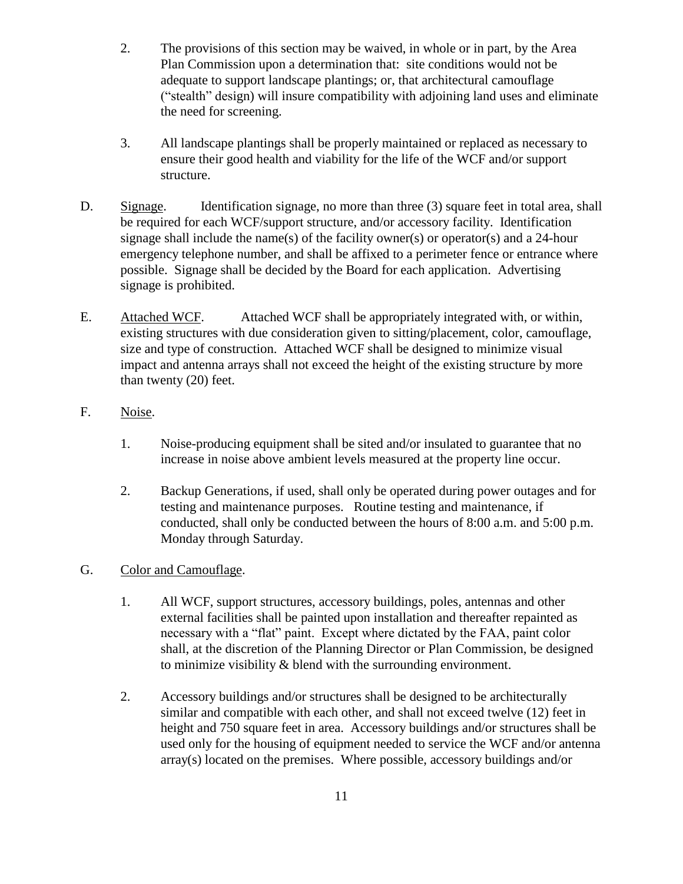- 2. The provisions of this section may be waived, in whole or in part, by the Area Plan Commission upon a determination that: site conditions would not be adequate to support landscape plantings; or, that architectural camouflage ("stealth" design) will insure compatibility with adjoining land uses and eliminate the need for screening.
- 3. All landscape plantings shall be properly maintained or replaced as necessary to ensure their good health and viability for the life of the WCF and/or support structure.
- D. Signage. Identification signage, no more than three (3) square feet in total area, shall be required for each WCF/support structure, and/or accessory facility. Identification signage shall include the name(s) of the facility owner(s) or operator(s) and a 24-hour emergency telephone number, and shall be affixed to a perimeter fence or entrance where possible. Signage shall be decided by the Board for each application. Advertising signage is prohibited.
- E. Attached WCF. Attached WCF shall be appropriately integrated with, or within, existing structures with due consideration given to sitting/placement, color, camouflage, size and type of construction. Attached WCF shall be designed to minimize visual impact and antenna arrays shall not exceed the height of the existing structure by more than twenty (20) feet.
- F. Noise.
	- 1. Noise-producing equipment shall be sited and/or insulated to guarantee that no increase in noise above ambient levels measured at the property line occur.
	- 2. Backup Generations, if used, shall only be operated during power outages and for testing and maintenance purposes. Routine testing and maintenance, if conducted, shall only be conducted between the hours of 8:00 a.m. and 5:00 p.m. Monday through Saturday.
- G. Color and Camouflage.
	- 1. All WCF, support structures, accessory buildings, poles, antennas and other external facilities shall be painted upon installation and thereafter repainted as necessary with a "flat" paint. Except where dictated by the FAA, paint color shall, at the discretion of the Planning Director or Plan Commission, be designed to minimize visibility & blend with the surrounding environment.
	- 2. Accessory buildings and/or structures shall be designed to be architecturally similar and compatible with each other, and shall not exceed twelve (12) feet in height and 750 square feet in area. Accessory buildings and/or structures shall be used only for the housing of equipment needed to service the WCF and/or antenna array(s) located on the premises. Where possible, accessory buildings and/or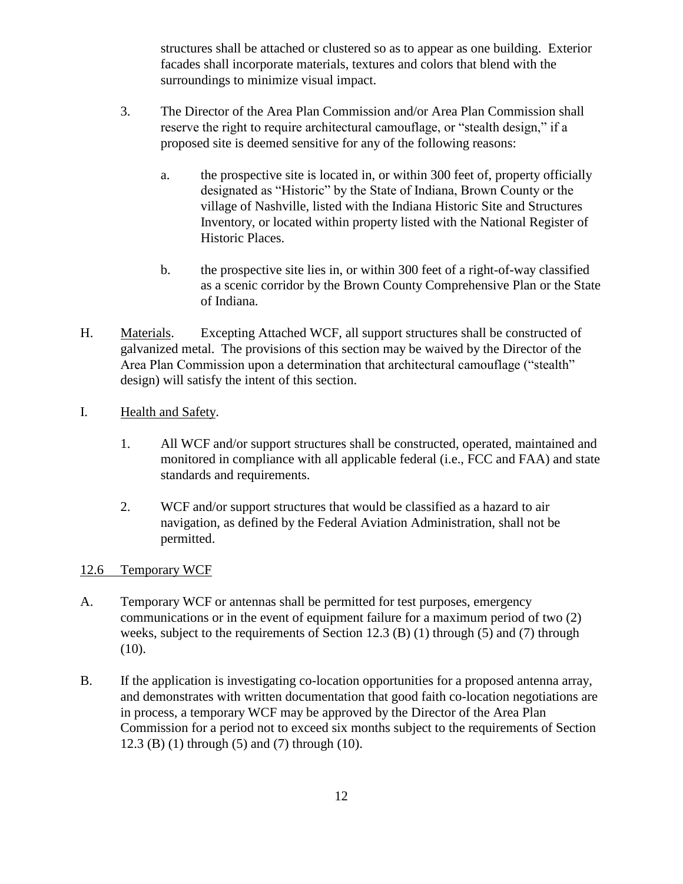structures shall be attached or clustered so as to appear as one building. Exterior facades shall incorporate materials, textures and colors that blend with the surroundings to minimize visual impact.

- 3. The Director of the Area Plan Commission and/or Area Plan Commission shall reserve the right to require architectural camouflage, or "stealth design," if a proposed site is deemed sensitive for any of the following reasons:
	- a. the prospective site is located in, or within 300 feet of, property officially designated as "Historic" by the State of Indiana, Brown County or the village of Nashville, listed with the Indiana Historic Site and Structures Inventory, or located within property listed with the National Register of Historic Places.
	- b. the prospective site lies in, or within 300 feet of a right-of-way classified as a scenic corridor by the Brown County Comprehensive Plan or the State of Indiana.
- H. Materials. Excepting Attached WCF, all support structures shall be constructed of galvanized metal. The provisions of this section may be waived by the Director of the Area Plan Commission upon a determination that architectural camouflage ("stealth" design) will satisfy the intent of this section.
- I. Health and Safety.
	- 1. All WCF and/or support structures shall be constructed, operated, maintained and monitored in compliance with all applicable federal (i.e., FCC and FAA) and state standards and requirements.
	- 2. WCF and/or support structures that would be classified as a hazard to air navigation, as defined by the Federal Aviation Administration, shall not be permitted.

# 12.6 Temporary WCF

- A. Temporary WCF or antennas shall be permitted for test purposes, emergency communications or in the event of equipment failure for a maximum period of two (2) weeks, subject to the requirements of Section 12.3 (B) (1) through (5) and (7) through  $(10).$
- B. If the application is investigating co-location opportunities for a proposed antenna array, and demonstrates with written documentation that good faith co-location negotiations are in process, a temporary WCF may be approved by the Director of the Area Plan Commission for a period not to exceed six months subject to the requirements of Section 12.3 (B) (1) through (5) and (7) through (10).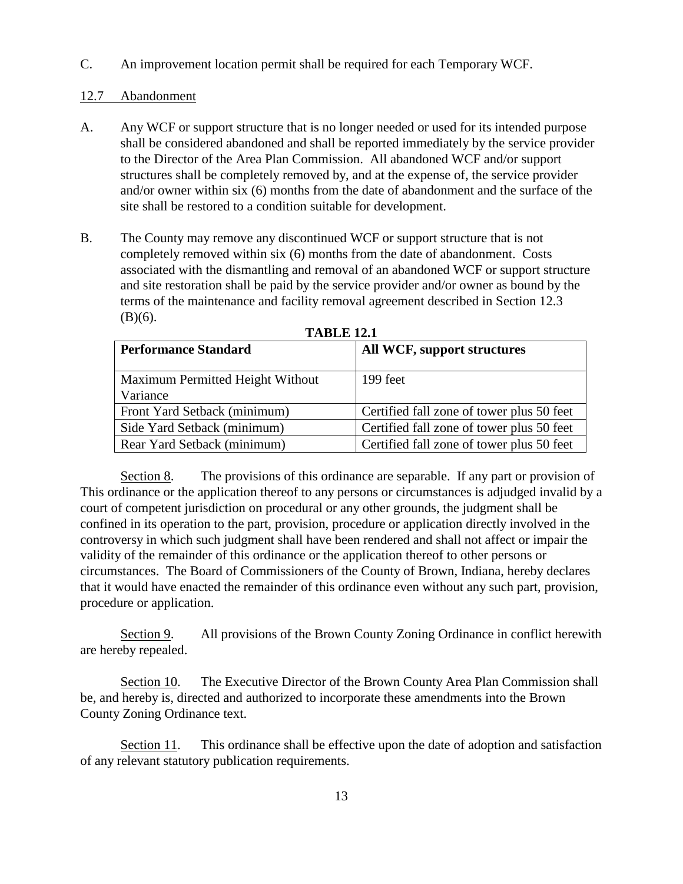C. An improvement location permit shall be required for each Temporary WCF.

#### 12.7 Abandonment

- A. Any WCF or support structure that is no longer needed or used for its intended purpose shall be considered abandoned and shall be reported immediately by the service provider to the Director of the Area Plan Commission. All abandoned WCF and/or support structures shall be completely removed by, and at the expense of, the service provider and/or owner within six (6) months from the date of abandonment and the surface of the site shall be restored to a condition suitable for development.
- B. The County may remove any discontinued WCF or support structure that is not completely removed within six (6) months from the date of abandonment. Costs associated with the dismantling and removal of an abandoned WCF or support structure and site restoration shall be paid by the service provider and/or owner as bound by the terms of the maintenance and facility removal agreement described in Section 12.3  $(B)(6)$ .

| <b>Performance Standard</b>                  | All WCF, support structures               |
|----------------------------------------------|-------------------------------------------|
| Maximum Permitted Height Without<br>Variance | 199 feet                                  |
| Front Yard Setback (minimum)                 | Certified fall zone of tower plus 50 feet |
| Side Yard Setback (minimum)                  | Certified fall zone of tower plus 50 feet |
| Rear Yard Setback (minimum)                  | Certified fall zone of tower plus 50 feet |

**TABLE 12.1**

Section 8. The provisions of this ordinance are separable. If any part or provision of This ordinance or the application thereof to any persons or circumstances is adjudged invalid by a court of competent jurisdiction on procedural or any other grounds, the judgment shall be confined in its operation to the part, provision, procedure or application directly involved in the controversy in which such judgment shall have been rendered and shall not affect or impair the validity of the remainder of this ordinance or the application thereof to other persons or circumstances. The Board of Commissioners of the County of Brown, Indiana, hereby declares that it would have enacted the remainder of this ordinance even without any such part, provision, procedure or application.

Section 9. All provisions of the Brown County Zoning Ordinance in conflict herewith are hereby repealed.

Section 10. The Executive Director of the Brown County Area Plan Commission shall be, and hereby is, directed and authorized to incorporate these amendments into the Brown County Zoning Ordinance text.

Section 11. This ordinance shall be effective upon the date of adoption and satisfaction of any relevant statutory publication requirements.